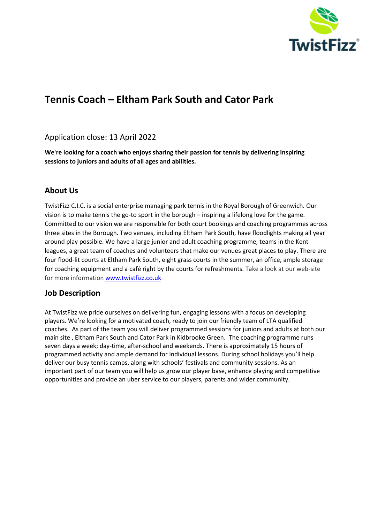

# **Tennis Coach – Eltham Park South and Cator Park**

### Application close: 13 April 2022

**We're looking for a coach who enjoys sharing their passion for tennis by delivering inspiring sessions to juniors and adults of all ages and abilities.**

## **About Us**

TwistFizz C.I.C. is a social enterprise managing park tennis in the Royal Borough of Greenwich. Our vision is to make tennis the go-to sport in the borough – inspiring a lifelong love for the game. Committed to our vision we are responsible for both court bookings and coaching programmes across three sites in the Borough. Two venues, including Eltham Park South, have floodlights making all year around play possible. We have a large junior and adult coaching programme, teams in the Kent leagues, a great team of coaches and volunteers that make our venues great places to play. There are four flood-lit courts at Eltham Park South, eight grass courts in the summer, an office, ample storage for coaching equipment and a café right by the courts for refreshments. Take a look at our web-site for more informatio[n www.twistfizz.co.uk](http://www.twistfizz.co.uk/)

### **Job Description**

At TwistFizz we pride ourselves on delivering fun, engaging lessons with a focus on developing players. We're looking for a motivated coach, ready to join our friendly team of LTA qualified coaches. As part of the team you will deliver programmed sessions for juniors and adults at both our main site , Eltham Park South and Cator Park in Kidbrooke Green. The coaching programme runs seven days a week; day-time, after-school and weekends. There is approximately 15 hours of programmed activity and ample demand for individual lessons. During school holidays you'll help deliver our busy tennis camps, along with schools' festivals and community sessions. As an important part of our team you will help us grow our player base, enhance playing and competitive opportunities and provide an uber service to our players, parents and wider community.